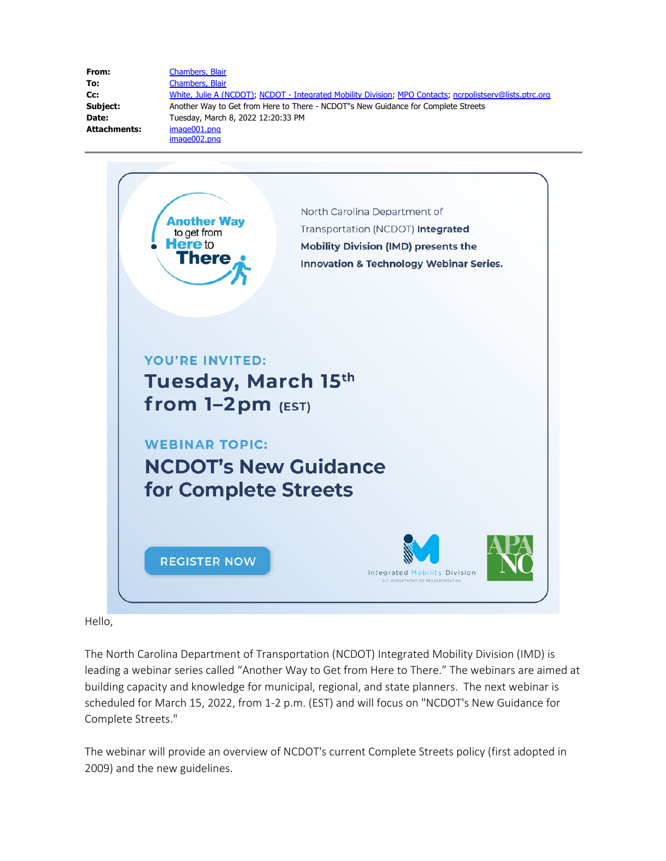| From:               | Chambers, Blair                                                                                          |
|---------------------|----------------------------------------------------------------------------------------------------------|
| To:                 | Chambers, Blair                                                                                          |
| Cc:                 | White, Julie A (NCDOT); NCDOT - Integrated Mobility Division; MPO Contacts; ncrpolistserv@lists.ptrc.org |
| Subject:            | Another Way to Get from Here to There - NCDOT"s New Guidance for Complete Streets                        |
| Date:               | Tuesday, March 8, 2022 12:20:33 PM                                                                       |
| <b>Attachments:</b> | image001.png                                                                                             |
|                     | image002.png                                                                                             |



## Hello,

The North Carolina Department of Transportation (NCDOT) Integrated Mobility Division (IMD) is leading a webinar series called "Another Way to Get from Here to There." The webinars are aimed at building capacity and knowledge for municipal, regional, and state planners. The next webinar is scheduled for March 15, 2022, from 1-2 p.m. (EST) and will focus on "NCDOT's New Guidance for Complete Streets."

The webinar will provide an overview of NCDOT's current Complete Streets policy (first adopted in 2009) and the new guidelines.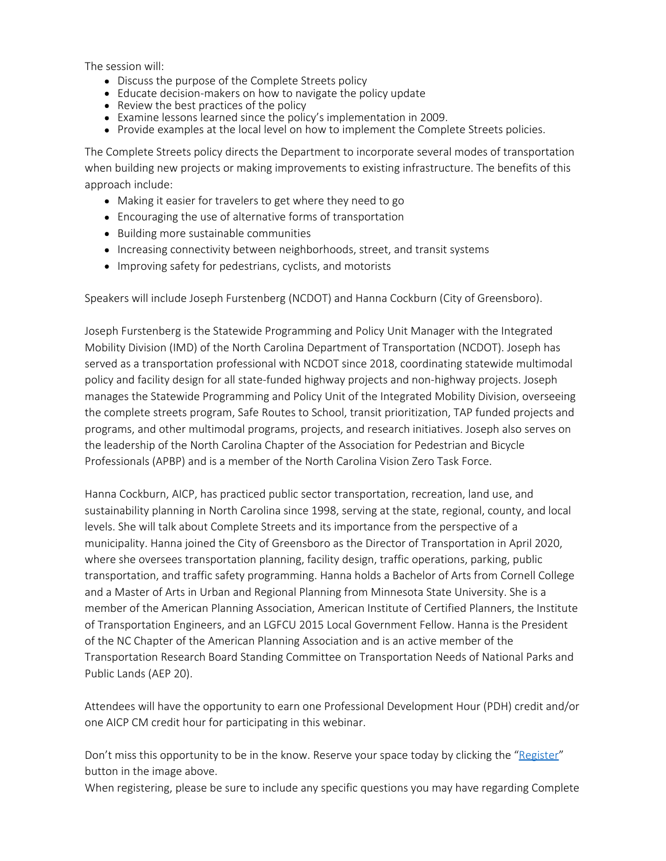The session will:

- Discuss the purpose of the Complete Streets policy
- Educate decision-makers on how to navigate the policy update
- Review the best practices of the policy
- Examine lessons learned since the policy's implementation in 2009.
- Provide examples at the local level on how to implement the Complete Streets policies.

The Complete Streets policy directs the Department to incorporate several modes of transportation when building new projects or making improvements to existing infrastructure. The benefits of this approach include:

- Making it easier for travelers to get where they need to go
- Encouraging the use of alternative forms of transportation
- Building more sustainable communities
- Increasing connectivity between neighborhoods, street, and transit systems
- Improving safety for pedestrians, cyclists, and motorists

Speakers will include Joseph Furstenberg (NCDOT) and Hanna Cockburn (City of Greensboro).

Joseph Furstenberg is the Statewide Programming and Policy Unit Manager with the Integrated Mobility Division (IMD) of the North Carolina Department of Transportation (NCDOT). Joseph has served as a transportation professional with NCDOT since 2018, coordinating statewide multimodal policy and facility design for all state-funded highway projects and non-highway projects. Joseph manages the Statewide Programming and Policy Unit of the Integrated Mobility Division, overseeing the complete streets program, Safe Routes to School, transit prioritization, TAP funded projects and programs, and other multimodal programs, projects, and research initiatives. Joseph also serves on the leadership of the North Carolina Chapter of the Association for Pedestrian and Bicycle Professionals (APBP) and is a member of the North Carolina Vision Zero Task Force.

Hanna Cockburn, AICP, has practiced public sector transportation, recreation, land use, and sustainability planning in North Carolina since 1998, serving at the state, regional, county, and local levels. She will talk about Complete Streets and its importance from the perspective of a municipality. Hanna joined the City of Greensboro as the Director of Transportation in April 2020, where she oversees transportation planning, facility design, traffic operations, parking, public transportation, and traffic safety programming. Hanna holds a Bachelor of Arts from Cornell College and a Master of Arts in Urban and Regional Planning from Minnesota State University. She is a member of the American Planning Association, American Institute of Certified Planners, the Institute of Transportation Engineers, and an LGFCU 2015 Local Government Fellow. Hanna is the President of the NC Chapter of the American Planning Association and is an active member of the Transportation Research Board Standing Committee on Transportation Needs of National Parks and Public Lands (AEP 20).

Attendees will have the opportunity to earn one Professional Development Hour (PDH) credit and/or one AICP CM credit hour for participating in this webinar.

Don't miss this opportunity to be in the know. Reserve your space today by clicking the ["Register"](https://register.gotowebinar.com/register/8927827030465895181) button in the image above.

When registering, please be sure to include any specific questions you may have regarding Complete